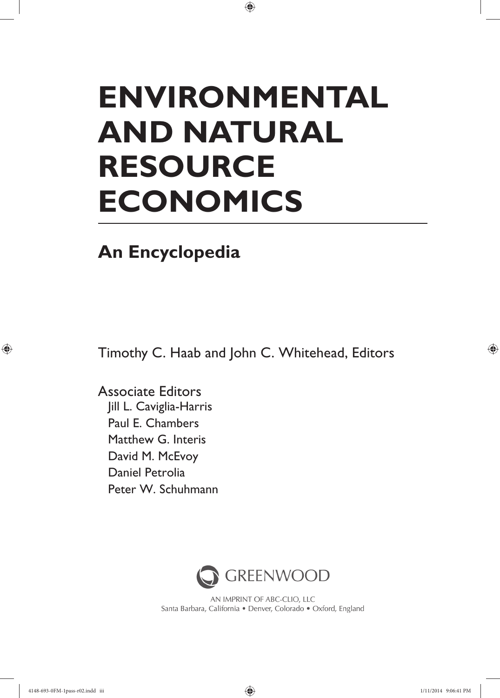# **ENVIRONMENTAL AND NATURAL RESOURCE ECONOMICS**

 $\bigcirc$ 

### **An Encyclopedia**

Timothy C. Haab and John C. Whitehead, Editors

Associate Editors Jill L. Caviglia-Harris Paul E. Chambers Matthew G. Interis David M. McEvoy Daniel Petrolia Peter W. Schuhmann



AN IMPRINT OF ABC-CLIO, LLC Santa Barbara, California · Denver, Colorado · Oxford, England

⊕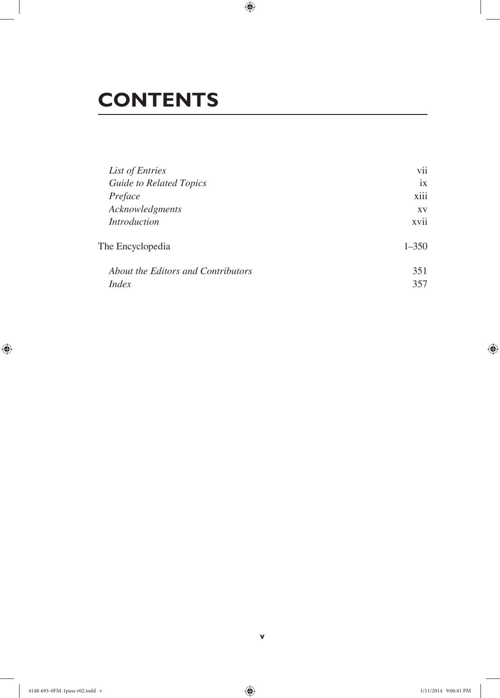# **CONTENTS**

| <b>List of Entries</b>             | vii       |
|------------------------------------|-----------|
| <b>Guide to Related Topics</b>     | ix        |
| Preface                            | xiii      |
| Acknowledgments                    | XV        |
| <i>Introduction</i>                | xvii      |
| The Encyclopedia                   | $1 - 350$ |
| About the Editors and Contributors | 351       |
| <i>Index</i>                       | 357       |

 $\bigoplus$ 

 $\bigoplus$ 

 $\bigoplus$ 

**v**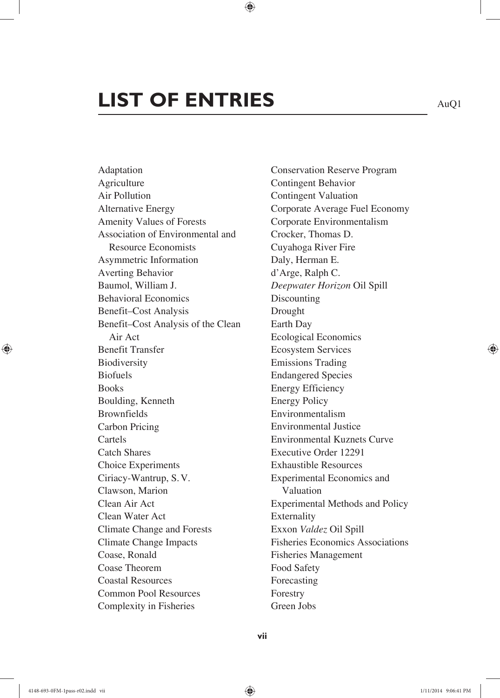### **LIST OF ENTRIES**

 $\textcolor{red}{\textcircled{\footnotesize{1}}}$ 

AuQ1

♠

 Adaptation **Agriculture**  Air Pollution Alternative Energy Amenity Values of Forests Association of Environmental and Resource Economists Asymmetric Information Averting Behavior Baumol, William J. Behavioral Economics Benefit-Cost Analysis Benefit-Cost Analysis of the Clean Air Act Benefit Transfer **Biodiversity**  Biofuels Books Boulding, Kenneth Brownfields Carbon Pricing Cartels Catch Shares Choice Experiments Ciriacy-Wantrup, S. V. Clawson, Marion Clean Air Act Clean Water Act Climate Change and Forests Climate Change Impacts Coase, Ronald Coase Theorem Coastal Resources Common Pool Resources Complexity in Fisheries

 Conservation Reserve Program Contingent Behavior Contingent Valuation Corporate Average Fuel Economy Corporate Environmentalism Crocker, Thomas D. Cuyahoga River Fire Daly, Herman E. d'Arge, Ralph C. *Deepwater Horizon* Oil Spill Discounting Drought Earth Day Ecological Economics Ecosystem Services Emissions Trading Endangered Species Energy Efficiency Energy Policy Environmentalism Environmental Justice Environmental Kuznets Curve Executive Order 12291 Exhaustible Resources Experimental Economics and Valuation Experimental Methods and Policy Externality Exxon *Valdez* Oil Spill Fisheries Economics Associations Fisheries Management Food Safety Forecasting Forestry Green Jobs

**vii**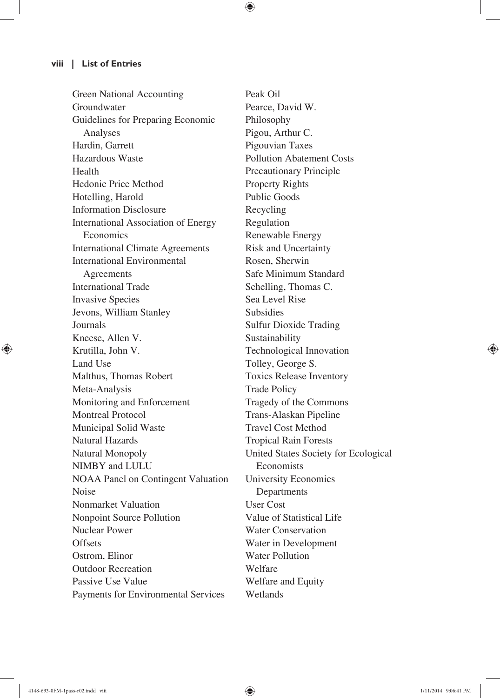#### **viii | List of Entries**

 Green National Accounting Groundwater Guidelines for Preparing Economic Analyses Hardin, Garrett Hazardous Waste Health Hedonic Price Method Hotelling, Harold Information Disclosure International Association of Energy **Economics**  International Climate Agreements International Environmental Agreements International Trade Invasive Species Jevons, William Stanley Journals Kneese, Allen V. Krutilla, John V. Land Use Malthus, Thomas Robert Meta-Analysis Monitoring and Enforcement Montreal Protocol Municipal Solid Waste Natural Hazards Natural Monopoly NIMBY and LULU NOAA Panel on Contingent Valuation Noise Nonmarket Valuation Nonpoint Source Pollution Nuclear Power **Offsets**  Ostrom, Elinor Outdoor Recreation Passive Use Value Payments for Environmental Services

 Peak Oil Pearce, David W. Philosophy Pigou, Arthur C. Pigouvian Taxes Pollution Abatement Costs Precautionary Principle Property Rights Public Goods Recycling Regulation Renewable Energy Risk and Uncertainty Rosen, Sherwin Safe Minimum Standard Schelling, Thomas C. Sea Level Rise Subsidies Sulfur Dioxide Trading Sustainability Technological Innovation Tolley, George S. Toxics Release Inventory Trade Policy Tragedy of the Commons Trans-Alaskan Pipeline Travel Cost Method Tropical Rain Forests United States Society for Ecological **Economists**  University Economics Departments User Cost Value of Statistical Life Water Conservation Water in Development Water Pollution Welfare Welfare and Equity Wetlands

 $\textcolor{red}{\textcircled{\footnotesize{1}}}$ 

♠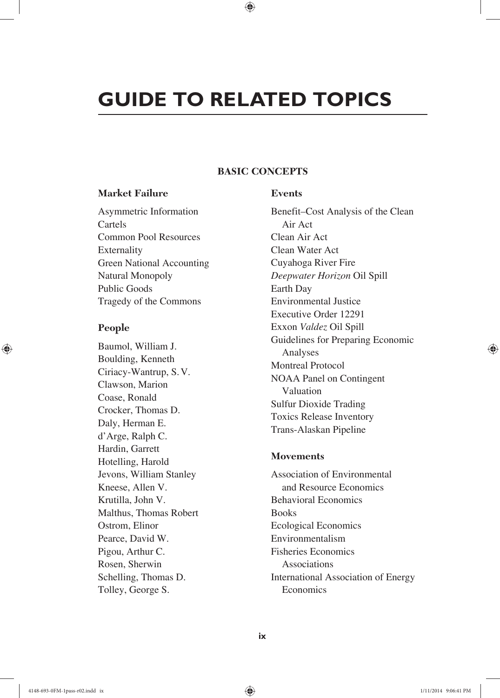### **GUIDE TO RELATED TOPICS**

 $\textcolor{red}{\textcircled{\footnotesize{1}}}$ 

#### **BASIC CONCEPTS**

#### **Market Failure**

 Asymmetric Information Cartels Common Pool Resources Externality Green National Accounting Natural Monopoly Public Goods Tragedy of the Commons

#### **People**

♠

 Baumol, William J. Boulding, Kenneth Ciriacy-Wantrup, S. V. Clawson, Marion Coase, Ronald Crocker, Thomas D. Daly, Herman E. d'Arge, Ralph C. Hardin, Garrett Hotelling, Harold Jevons, William Stanley Kneese, Allen V. Krutilla, John V. Malthus, Thomas Robert Ostrom, Elinor Pearce, David W. Pigou, Arthur C. Rosen, Sherwin Schelling, Thomas D. Tolley, George S.

#### **Events**

Benefit–Cost Analysis of the Clean Air Act Clean Air Act Clean Water Act Cuyahoga River Fire *Deepwater Horizon* Oil Spill Earth Day Environmental Justice Executive Order 12291 Exxon *Valdez* Oil Spill Guidelines for Preparing Economic Analyses Montreal Protocol NOAA Panel on Contingent Valuation Sulfur Dioxide Trading Toxics Release Inventory Trans-Alaskan Pipeline

#### **Movements**

 Association of Environmental and Resource Economics Behavioral Economics **Books**  Ecological Economics Environmentalism Fisheries Economics Associations International Association of Energy **Economics**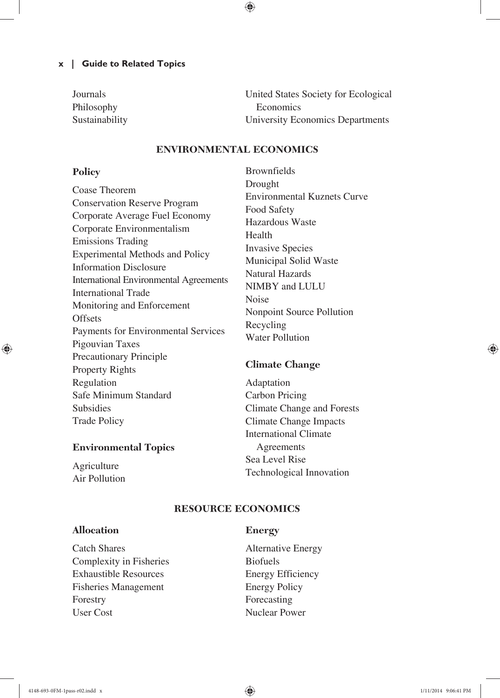| Journals       | United States Society for Ecological    |
|----------------|-----------------------------------------|
| Philosophy     | Economics                               |
| Sustainability | <b>University Economics Departments</b> |

 $\bf \bigcirc$ 

#### **ENVIRONMENTAL ECONOMICS**

#### **Policy**

⊕

 Coase Theorem Conservation Reserve Program Corporate Average Fuel Economy Corporate Environmentalism Emissions Trading Experimental Methods and Policy Information Disclosure International Environmental Agreements International Trade Monitoring and Enforcement **Offsets**  Payments for Environmental Services Pigouvian Taxes Precautionary Principle Property Rights Regulation Safe Minimum Standard Subsidies Trade Policy

#### **Environmental Topics**

 Agriculture Air Pollution  Brownfields Drought Environmental Kuznets Curve Food Safety Hazardous Waste Health Invasive Species Municipal Solid Waste Natural Hazards NIMBY and LULU Noise Nonpoint Source Pollution Recycling Water Pollution

#### **Climate Change**

 Adaptation Carbon Pricing Climate Change and Forests Climate Change Impacts International Climate Agreements Sea Level Rise Technological Innovation

#### **RESOURCE ECONOMICS**

#### **Allocation**

 Catch Shares Complexity in Fisheries Exhaustible Resources Fisheries Management Forestry User Cost

**Energy** 

 Alternative Energy Biofuels Energy Efficiency Energy Policy Forecasting Nuclear Power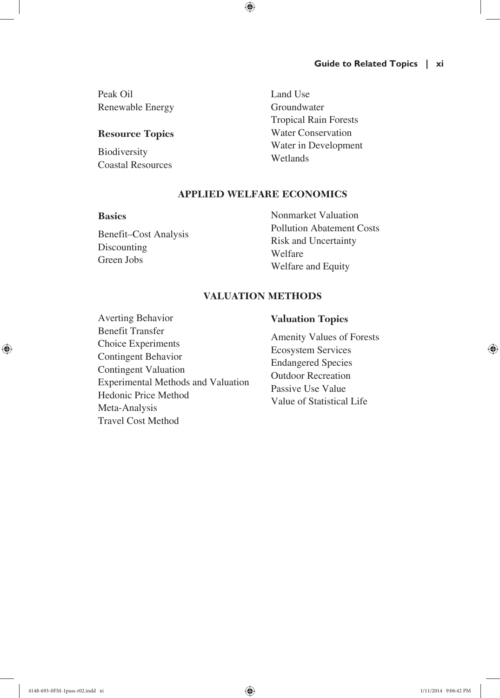#### **Guide to Related Topics | xi**

 Peak Oil Renewable Energy

#### **Resource Topics**

 Biodiversity Coastal Resources  Land Use Groundwater Tropical Rain Forests Water Conservation Water in Development Wetlands

#### **APPLIED WELFARE ECONOMICS**

 $\bigoplus$ 

#### **Basics**

Benefit-Cost Analysis Discounting Green Jobs

 Nonmarket Valuation Pollution Abatement Costs Risk and Uncertainty Welfare Welfare and Equity

#### **VALUATION METHODS**

 Averting Behavior Benefit Transfer Choice Experiments Contingent Behavior Contingent Valuation Experimental Methods and Valuation Hedonic Price Method Meta-Analysis Travel Cost Method

#### **Valuation Topics**

 Amenity Values of Forests Ecosystem Services Endangered Species Outdoor Recreation Passive Use Value Value of Statistical Life

⊕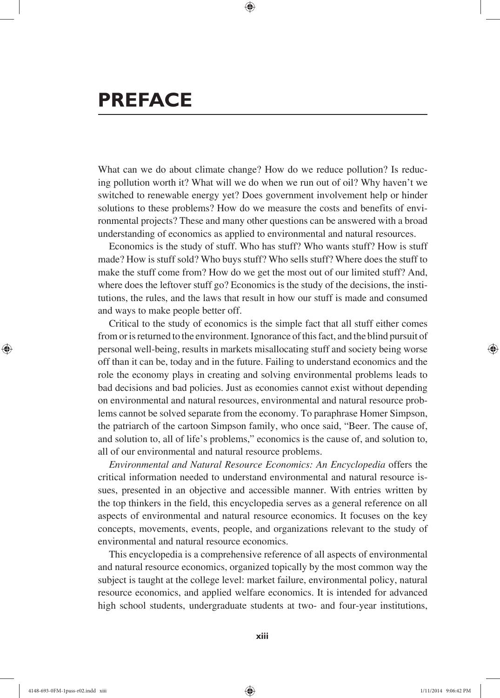### **PREFACE**

 What can we do about climate change? How do we reduce pollution? Is reducing pollution worth it? What will we do when we run out of oil? Why haven't we switched to renewable energy yet? Does government involvement help or hinder solutions to these problems? How do we measure the costs and benefits of environmental projects? These and many other questions can be answered with a broad understanding of economics as applied to environmental and natural resources.

⊕

 Economics is the study of stuff. Who has stuff? Who wants stuff? How is stuff made? How is stuff sold? Who buys stuff? Who sells stuff? Where does the stuff to make the stuff come from? How do we get the most out of our limited stuff? And, where does the leftover stuff go? Economics is the study of the decisions, the institutions, the rules, and the laws that result in how our stuff is made and consumed and ways to make people better off.

 Critical to the study of economics is the simple fact that all stuff either comes from or is returned to the environment. Ignorance of this fact, and the blind pursuit of personal well-being, results in markets misallocating stuff and society being worse off than it can be, today and in the future. Failing to understand economics and the role the economy plays in creating and solving environmental problems leads to bad decisions and bad policies. Just as economies cannot exist without depending on environmental and natural resources, environmental and natural resource problems cannot be solved separate from the economy. To paraphrase Homer Simpson, the patriarch of the cartoon Simpson family, who once said, "Beer. The cause of, and solution to, all of life's problems," economics is the cause of, and solution to, all of our environmental and natural resource problems.

*Environmental and Natural Resource Economics: An Encyclopedia* offers the critical information needed to understand environmental and natural resource issues, presented in an objective and accessible manner. With entries written by the top thinkers in the field, this encyclopedia serves as a general reference on all aspects of environmental and natural resource economics. It focuses on the key concepts, movements, events, people, and organizations relevant to the study of environmental and natural resource economics.

 This encyclopedia is a comprehensive reference of all aspects of environmental and natural resource economics, organized topically by the most common way the subject is taught at the college level: market failure, environmental policy, natural resource economics, and applied welfare economics. It is intended for advanced high school students, undergraduate students at two- and four-year institutions,

♠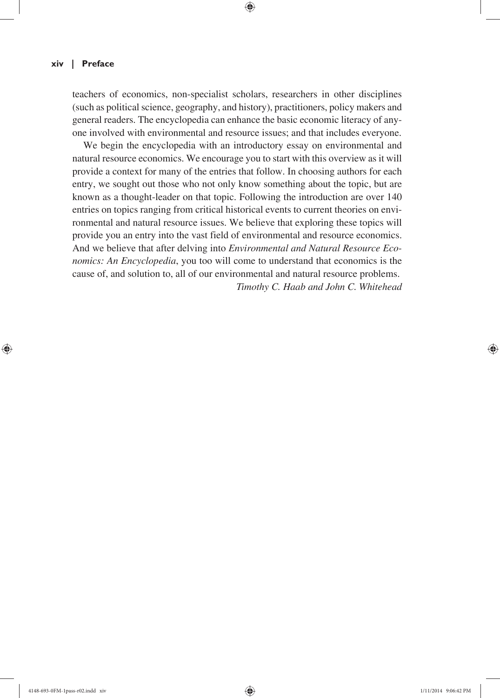#### **xiv | Preface**

teachers of economics, non-specialist scholars, researchers in other disciplines (such as political science, geography, and history), practitioners, policy makers and general readers. The encyclopedia can enhance the basic economic literacy of anyone involved with environmental and resource issues; and that includes everyone.

⊕

 We begin the encyclopedia with an introductory essay on environmental and natural resource economics. We encourage you to start with this overview as it will provide a context for many of the entries that follow. In choosing authors for each entry, we sought out those who not only know something about the topic, but are known as a thought-leader on that topic. Following the introduction are over 140 entries on topics ranging from critical historical events to current theories on environmental and natural resource issues. We believe that exploring these topics will provide you an entry into the vast field of environmental and resource economics. And we believe that after delving into *Environmental and Natural Resource Economics: An Encyclopedia* , you too will come to understand that economics is the cause of, and solution to, all of our environmental and natural resource problems.  *Timothy C. Haab and John C. Whitehead* 

♠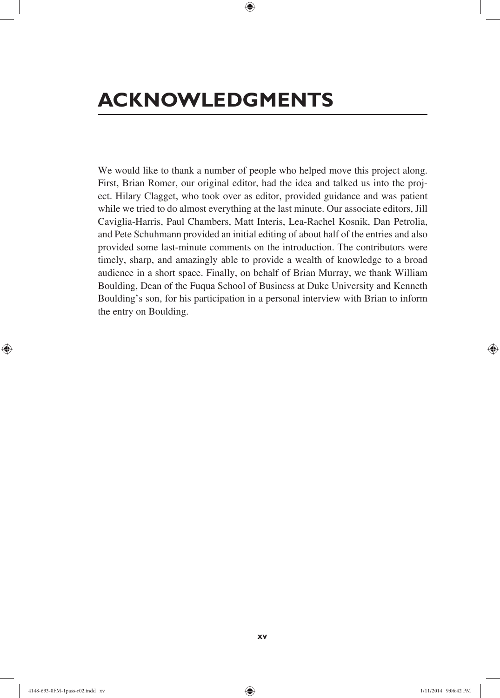### **ACKNOWLEDGMENTS**

 $\bigoplus$ 

 We would like to thank a number of people who helped move this project along. First, Brian Romer, our original editor, had the idea and talked us into the project. Hilary Clagget, who took over as editor, provided guidance and was patient while we tried to do almost everything at the last minute. Our associate editors, Jill Caviglia-Harris, Paul Chambers, Matt Interis, Lea-Rachel Kosnik, Dan Petrolia, and Pete Schuhmann provided an initial editing of about half of the entries and also provided some last-minute comments on the introduction. The contributors were timely, sharp, and amazingly able to provide a wealth of knowledge to a broad audience in a short space. Finally, on behalf of Brian Murray, we thank William Boulding, Dean of the Fuqua School of Business at Duke University and Kenneth Boulding's son, for his participation in a personal interview with Brian to inform the entry on Boulding.

⊕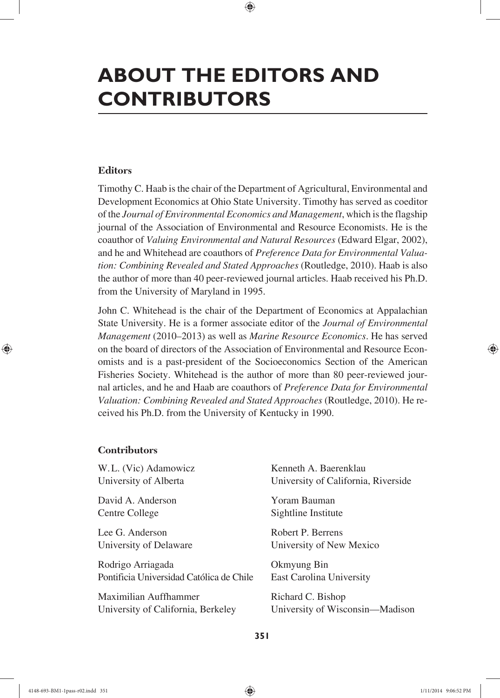# **ABOUT THE EDITORS AND CONTRIBUTORS**

⊕

#### **Editors**

 Timothy C. Haab is the chair of the Department of Agricultural, Environmental and Development Economics at Ohio State University. Timothy has served as coeditor of the *Journal of Environmental Economics and Management* , which is the flagship journal of the Association of Environmental and Resource Economists. He is the coauthor of *Valuing Environmental and Natural Resources* (Edward Elgar, 2002), and he and Whitehead are coauthors of *Preference Data for Environmental Valuation: Combining Revealed and Stated Approaches* (Routledge, 2010). Haab is also the author of more than 40 peer-reviewed journal articles. Haab received his Ph.D. from the University of Maryland in 1995.

 John C. Whitehead is the chair of the Department of Economics at Appalachian State University. He is a former associate editor of the *Journal of Environmental Management* (2010–2013) as well as *Marine Resource Economics*. He has served on the board of directors of the Association of Environmental and Resource Economists and is a past-president of the Socioeconomics Section of the American Fisheries Society. Whitehead is the author of more than 80 peer-reviewed journal articles, and he and Haab are coauthors of *Preference Data for Environmental Valuation: Combining Revealed and Stated Approaches* (Routledge, 2010). He received his Ph.D. from the University of Kentucky in 1990.

#### **Contributors**

 W. L. (Vic) Adamowicz University of Alberta

 David A. Anderson Centre College

 Lee G. Anderson University of Delaware

 Rodrigo Arriagada Pontificia Universidad Católica de Chile

 Maximilian Auffhammer University of California, Berkeley

 Kenneth A. Baerenklau University of California, Riverside

 Yoram Bauman Sightline Institute

 Robert P. Berrens University of New Mexico

 Okmyung Bin East Carolina University

 Richard C. Bishop University of Wisconsin-Madison

♠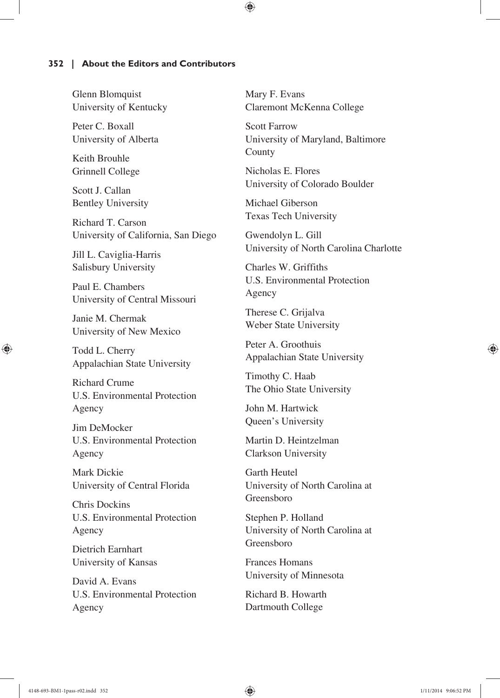#### **352 | About the Editors and Contributors**

 Glenn Blomquist University of Kentucky

 Peter C. Boxall University of Alberta

 Keith Brouhle Grinnell College

 Scott J. Callan Bentley University

 Richard T. Carson University of California, San Diego

 Jill L. Caviglia-Harris Salisbury University

 Paul E. Chambers University of Central Missouri

 Janie M. Chermak University of New Mexico

⊕

 Todd L. Cherry Appalachian State University

 Richard Crume U.S. Environmental Protection Agency

 Jim DeMocker U.S. Environmental Protection Agency

 Mark Dickie University of Central Florida

 Chris Dockins U.S. Environmental Protection Agency

 Dietrich Earnhart University of Kansas

 David A. Evans U.S. Environmental Protection Agency

 Mary F. Evans Claremont McKenna College

 $\textcolor{red}{\textcircled{\footnotesize{1}}}$ 

 Scott Farrow University of Maryland, Baltimore County

 Nicholas E. Flores University of Colorado Boulder

 Michael Giberson Texas Tech University

 Gwendolyn L. Gill University of North Carolina Charlotte

 Charles W. Griffiths U.S. Environmental Protection Agency

 Therese C. Grijalva Weber State University

 Peter A. Groothuis Appalachian State University

 Timothy C. Haab The Ohio State University

 John M. Hartwick Queen's University

 Martin D. Heintzelman Clarkson University

 Garth Heutel University of North Carolina at Greensboro

 Stephen P. Holland University of North Carolina at Greensboro

 Frances Homans University of Minnesota

 Richard B. Howarth Dartmouth College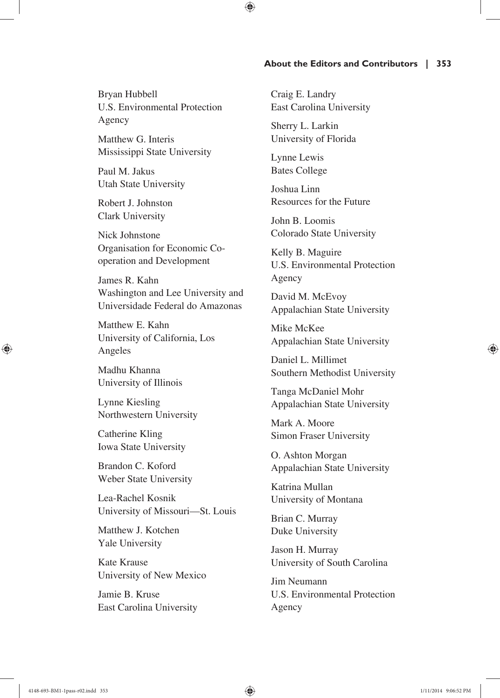#### **About the Editors and Contributors | 353**

 Bryan Hubbell U.S. Environmental Protection Agency

 Matthew G. Interis Mississippi State University

 Paul M. Jakus Utah State University

 Robert J. Johnston Clark University

 Nick Johnstone Organisation for Economic Cooperation and Development

 James R. Kahn Washington and Lee University and Universidade Federal do Amazonas

 Matthew E. Kahn University of California, Los Angeles

 Madhu Khanna University of Illinois

 Lynne Kiesling Northwestern University

 Catherine Kling Iowa State University

 Brandon C. Koford Weber State University

 Lea-Rachel Kosnik University of Missouri—St. Louis

 Matthew J. Kotchen Yale University

 Kate Krause University of New Mexico

 Jamie B. Kruse East Carolina University  Craig E. Landry East Carolina University

 Sherry L. Larkin University of Florida

 Lynne Lewis Bates College

 $\textcolor{red}{\textcircled{\footnotesize{1}}}$ 

 Joshua Linn Resources for the Future

 John B. Loomis Colorado State University

 Kelly B. Maguire U.S. Environmental Protection Agency

 David M. McEvoy Appalachian State University

 Mike McKee Appalachian State University

 Daniel L. Millimet Southern Methodist University

 Tanga McDaniel Mohr Appalachian State University

 Mark A. Moore Simon Fraser University

 O. Ashton Morgan Appalachian State University

 Katrina Mullan University of Montana

 Brian C. Murray Duke University

 Jason H. Murray University of South Carolina

 Jim Neumann U.S. Environmental Protection Agency

♠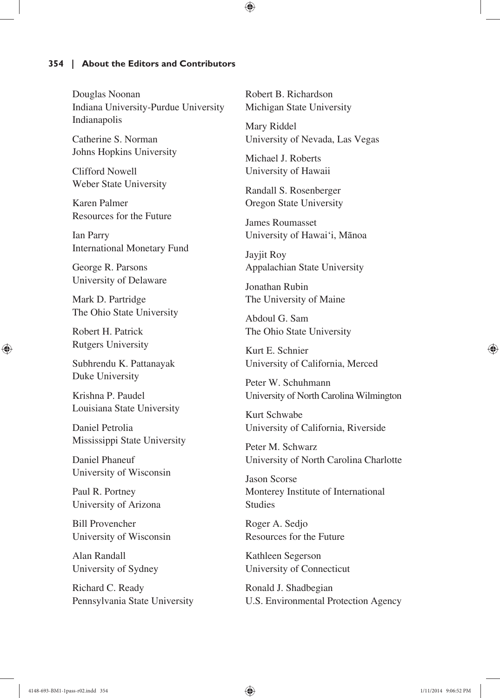#### **354 | About the Editors and Contributors**

 Douglas Noonan Indiana University-Purdue University Indianapolis

 Catherine S. Norman Johns Hopkins University

 Clifford Nowell Weber State University

 Karen Palmer Resources for the Future

 Ian Parry International Monetary Fund

 George R. Parsons University of Delaware

 Mark D. Partridge The Ohio State University

 Robert H. Patrick Rutgers University

⊕

 Subhrendu K. Pattanayak Duke University

 Krishna P. Paudel Louisiana State University

 Daniel Petrolia Mississippi State University

 Daniel Phaneuf University of Wisconsin

 Paul R. Portney University of Arizona

 Bill Provencher University of Wisconsin

 Alan Randall University of Sydney

 Richard C. Ready Pennsylvania State University  Robert B. Richardson Michigan State University

 $\textcolor{red}{\textcircled{\footnotesize{1}}}$ 

 Mary Riddel University of Nevada, Las Vegas

 Michael J. Roberts University of Hawaii

 Randall S. Rosenberger Oregon State University

 James Roumasset University of Hawai'i, Mānoa

 Jayjit Roy Appalachian State University

 Jonathan Rubin The University of Maine

 Abdoul G. Sam The Ohio State University

 Kurt E. Schnier University of California, Merced

 Peter W. Schuhmann University of North Carolina Wilmington

 Kurt Schwabe University of California, Riverside

 Peter M. Schwarz University of North Carolina Charlotte

 Jason Scorse Monterey Institute of International Studies

 Roger A. Sedjo Resources for the Future

 Kathleen Segerson University of Connecticut

 Ronald J. Shadbegian U.S. Environmental Protection Agency